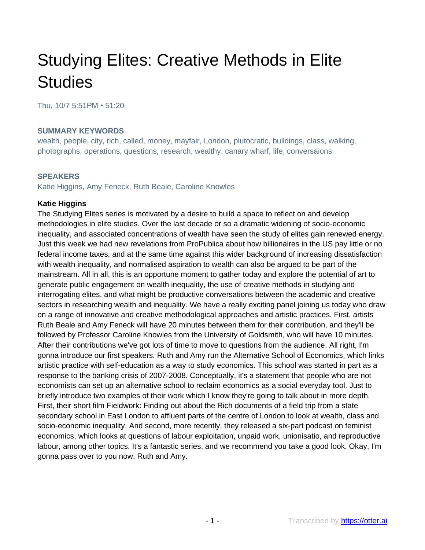# Studying Elites: Creative Methods in Elite **Studies**

Thu, 10/7 5:51PM • 51:20

#### **SUMMARY KEYWORDS**

wealth, people, city, rich, called, money, mayfair, London, plutocratic, buildings, class, walking, photographs, operations, questions, research, wealthy, canary wharf, life, conversaions

#### **SPEAKERS**

Katie Higgins, Amy Feneck, Ruth Beale, Caroline Knowles

#### **Katie Higgins**

The Studying Elites series is motivated by a desire to build a space to reflect on and develop methodologies in elite studies. Over the last decade or so a dramatic widening of socio-economic inequality, and associated concentrations of wealth have seen the study of elites gain renewed energy. Just this week we had new revelations from ProPublica about how billionaires in the US pay little or no federal income taxes, and at the same time against this wider background of increasing dissatisfaction with wealth inequality, and normalised aspiration to wealth can also be argued to be part of the mainstream. All in all, this is an opportune moment to gather today and explore the potential of art to generate public engagement on wealth inequality, the use of creative methods in studying and interrogating elites, and what might be productive conversations between the academic and creative sectors in researching wealth and inequality. We have a really exciting panel joining us today who draw on a range of innovative and creative methodological approaches and artistic practices. First, artists Ruth Beale and Amy Feneck will have 20 minutes between them for their contribution, and they'll be followed by Professor Caroline Knowles from the University of Goldsmith, who will have 10 minutes. After their contributions we've got lots of time to move to questions from the audience. All right, I'm gonna introduce our first speakers. Ruth and Amy run the Alternative School of Economics, which links artistic practice with self-education as a way to study economics. This school was started in part as a response to the banking crisis of 2007-2008. Conceptually, it's a statement that people who are not economists can set up an alternative school to reclaim economics as a social everyday tool. Just to briefly introduce two examples of their work which I know they're going to talk about in more depth. First, their short film Fieldwork: Finding out about the Rich documents of a field trip from a state secondary school in East London to affluent parts of the centre of London to look at wealth, class and socio-economic inequality. And second, more recently, they released a six-part podcast on feminist economics, which looks at questions of labour exploitation, unpaid work, unionisatio, and reproductive labour, among other topics. It's a fantastic series, and we recommend you take a good look. Okay, I'm gonna pass over to you now, Ruth and Amy.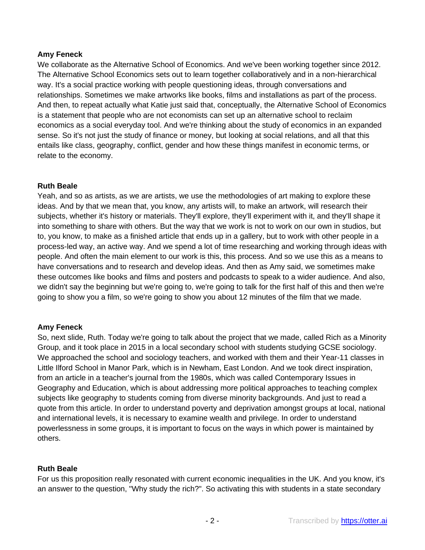## **Amy Feneck**

We collaborate as the Alternative School of Economics. And we've been working together since 2012. The Alternative School Economics sets out to learn together collaboratively and in a non-hierarchical way. It's a social practice working with people questioning ideas, through conversations and relationships. Sometimes we make artworks like books, films and installations as part of the process. And then, to repeat actually what Katie just said that, conceptually, the Alternative School of Economics is a statement that people who are not economists can set up an alternative school to reclaim economics as a social everyday tool. And we're thinking about the study of economics in an expanded sense. So it's not just the study of finance or money, but looking at social relations, and all that this entails like class, geography, conflict, gender and how these things manifest in economic terms, or relate to the economy.

## **Ruth Beale**

Yeah, and so as artists, as we are artists, we use the methodologies of art making to explore these ideas. And by that we mean that, you know, any artists will, to make an artwork, will research their subjects, whether it's history or materials. They'll explore, they'll experiment with it, and they'll shape it into something to share with others. But the way that we work is not to work on our own in studios, but to, you know, to make as a finished article that ends up in a gallery, but to work with other people in a process-led way, an active way. And we spend a lot of time researching and working through ideas with people. And often the main element to our work is this, this process. And so we use this as a means to have conversations and to research and develop ideas. And then as Amy said, we sometimes make these outcomes like books and films and posters and podcasts to speak to a wider audience. And also, we didn't say the beginning but we're going to, we're going to talk for the first half of this and then we're going to show you a film, so we're going to show you about 12 minutes of the film that we made.

## **Amy Feneck**

So, next slide, Ruth. Today we're going to talk about the project that we made, called Rich as a Minority Group, and it took place in 2015 in a local secondary school with students studying GCSE sociology. We approached the school and sociology teachers, and worked with them and their Year-11 classes in Little Ilford School in Manor Park, which is in Newham, East London. And we took direct inspiration, from an article in a teacher's journal from the 1980s, which was called Contemporary Issues in Geography and Education, which is about addressing more political approaches to teaching complex subjects like geography to students coming from diverse minority backgrounds. And just to read a quote from this article. In order to understand poverty and deprivation amongst groups at local, national and international levels, it is necessary to examine wealth and privilege. In order to understand powerlessness in some groups, it is important to focus on the ways in which power is maintained by others.

## **Ruth Beale**

For us this proposition really resonated with current economic inequalities in the UK. And you know, it's an answer to the question, "Why study the rich?". So activating this with students in a state secondary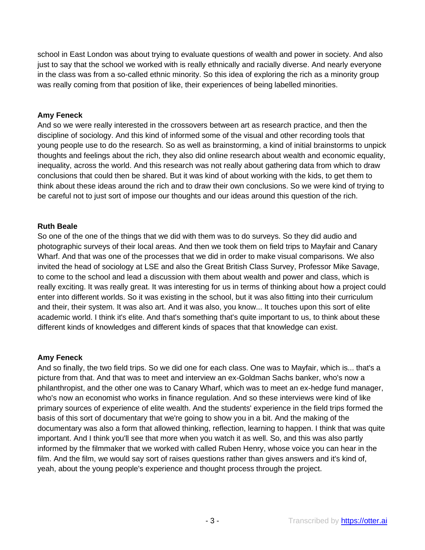school in East London was about trying to evaluate questions of wealth and power in society. And also just to say that the school we worked with is really ethnically and racially diverse. And nearly everyone in the class was from a so-called ethnic minority. So this idea of exploring the rich as a minority group was really coming from that position of like, their experiences of being labelled minorities.

## **Amy Feneck**

And so we were really interested in the crossovers between art as research practice, and then the discipline of sociology. And this kind of informed some of the visual and other recording tools that young people use to do the research. So as well as brainstorming, a kind of initial brainstorms to unpick thoughts and feelings about the rich, they also did online research about wealth and economic equality, inequality, across the world. And this research was not really about gathering data from which to draw conclusions that could then be shared. But it was kind of about working with the kids, to get them to think about these ideas around the rich and to draw their own conclusions. So we were kind of trying to be careful not to just sort of impose our thoughts and our ideas around this question of the rich.

## **Ruth Beale**

So one of the one of the things that we did with them was to do surveys. So they did audio and photographic surveys of their local areas. And then we took them on field trips to Mayfair and Canary Wharf. And that was one of the processes that we did in order to make visual comparisons. We also invited the head of sociology at LSE and also the Great British Class Survey, Professor Mike Savage, to come to the school and lead a discussion with them about wealth and power and class, which is really exciting. It was really great. It was interesting for us in terms of thinking about how a project could enter into different worlds. So it was existing in the school, but it was also fitting into their curriculum and their, their system. It was also art. And it was also, you know... It touches upon this sort of elite academic world. I think it's elite. And that's something that's quite important to us, to think about these different kinds of knowledges and different kinds of spaces that that knowledge can exist.

## **Amy Feneck**

And so finally, the two field trips. So we did one for each class. One was to Mayfair, which is... that's a picture from that. And that was to meet and interview an ex-Goldman Sachs banker, who's now a philanthropist, and the other one was to Canary Wharf, which was to meet an ex-hedge fund manager, who's now an economist who works in finance regulation. And so these interviews were kind of like primary sources of experience of elite wealth. And the students' experience in the field trips formed the basis of this sort of documentary that we're going to show you in a bit. And the making of the documentary was also a form that allowed thinking, reflection, learning to happen. I think that was quite important. And I think you'll see that more when you watch it as well. So, and this was also partly informed by the filmmaker that we worked with called Ruben Henry, whose voice you can hear in the film. And the film, we would say sort of raises questions rather than gives answers and it's kind of, yeah, about the young people's experience and thought process through the project.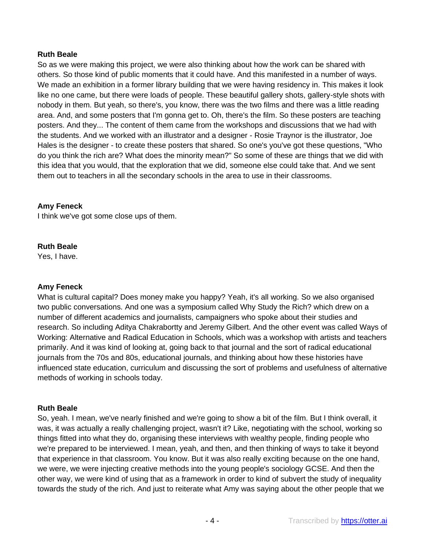So as we were making this project, we were also thinking about how the work can be shared with others. So those kind of public moments that it could have. And this manifested in a number of ways. We made an exhibition in a former library building that we were having residency in. This makes it look like no one came, but there were loads of people. These beautiful gallery shots, gallery-style shots with nobody in them. But yeah, so there's, you know, there was the two films and there was a little reading area. And, and some posters that I'm gonna get to. Oh, there's the film. So these posters are teaching posters. And they... The content of them came from the workshops and discussions that we had with the students. And we worked with an illustrator and a designer - Rosie Traynor is the illustrator, Joe Hales is the designer - to create these posters that shared. So one's you've got these questions, "Who do you think the rich are? What does the minority mean?" So some of these are things that we did with this idea that you would, that the exploration that we did, someone else could take that. And we sent them out to teachers in all the secondary schools in the area to use in their classrooms.

## **Amy Feneck**

I think we've got some close ups of them.

## **Ruth Beale**

Yes, I have.

## **Amy Feneck**

What is cultural capital? Does money make you happy? Yeah, it's all working. So we also organised two public conversations. And one was a symposium called Why Study the Rich? which drew on a number of different academics and journalists, campaigners who spoke about their studies and research. So including Aditya Chakrabortty and Jeremy Gilbert. And the other event was called Ways of Working: Alternative and Radical Education in Schools, which was a workshop with artists and teachers primarily. And it was kind of looking at, going back to that journal and the sort of radical educational journals from the 70s and 80s, educational journals, and thinking about how these histories have influenced state education, curriculum and discussing the sort of problems and usefulness of alternative methods of working in schools today.

## **Ruth Beale**

So, yeah. I mean, we've nearly finished and we're going to show a bit of the film. But I think overall, it was, it was actually a really challenging project, wasn't it? Like, negotiating with the school, working so things fitted into what they do, organising these interviews with wealthy people, finding people who we're prepared to be interviewed. I mean, yeah, and then, and then thinking of ways to take it beyond that experience in that classroom. You know. But it was also really exciting because on the one hand, we were, we were injecting creative methods into the young people's sociology GCSE. And then the other way, we were kind of using that as a framework in order to kind of subvert the study of inequality towards the study of the rich. And just to reiterate what Amy was saying about the other people that we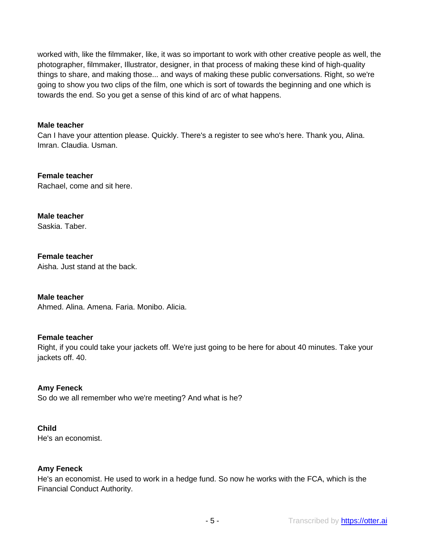worked with, like the filmmaker, like, it was so important to work with other creative people as well, the photographer, filmmaker, Illustrator, designer, in that process of making these kind of high-quality things to share, and making those... and ways of making these public conversations. Right, so we're going to show you two clips of the film, one which is sort of towards the beginning and one which is towards the end. So you get a sense of this kind of arc of what happens.

#### **Male teacher**

Can I have your attention please. Quickly. There's a register to see who's here. Thank you, Alina. Imran. Claudia. Usman.

**Female teacher** Rachael, come and sit here.

**Male teacher**

Saskia. Taber.

#### **Female teacher**

Aisha. Just stand at the back.

## **Male teacher**

Ahmed. Alina. Amena. Faria. Monibo. Alicia.

## **Female teacher**

Right, if you could take your jackets off. We're just going to be here for about 40 minutes. Take your jackets off. 40.

## **Amy Feneck**

So do we all remember who we're meeting? And what is he?

#### **Child**

He's an economist.

## **Amy Feneck**

He's an economist. He used to work in a hedge fund. So now he works with the FCA, which is the Financial Conduct Authority.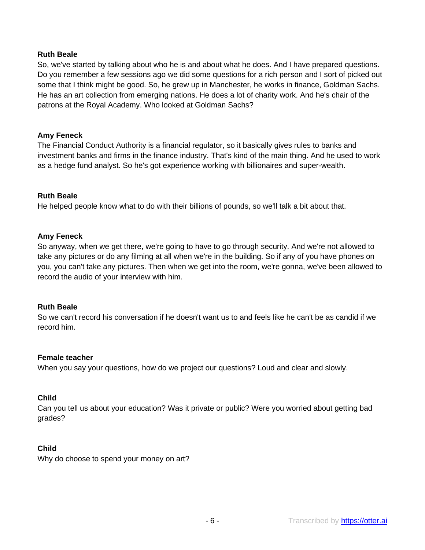So, we've started by talking about who he is and about what he does. And I have prepared questions. Do you remember a few sessions ago we did some questions for a rich person and I sort of picked out some that I think might be good. So, he grew up in Manchester, he works in finance, Goldman Sachs. He has an art collection from emerging nations. He does a lot of charity work. And he's chair of the patrons at the Royal Academy. Who looked at Goldman Sachs?

#### **Amy Feneck**

The Financial Conduct Authority is a financial regulator, so it basically gives rules to banks and investment banks and firms in the finance industry. That's kind of the main thing. And he used to work as a hedge fund analyst. So he's got experience working with billionaires and super-wealth.

#### **Ruth Beale**

He helped people know what to do with their billions of pounds, so we'll talk a bit about that.

#### **Amy Feneck**

So anyway, when we get there, we're going to have to go through security. And we're not allowed to take any pictures or do any filming at all when we're in the building. So if any of you have phones on you, you can't take any pictures. Then when we get into the room, we're gonna, we've been allowed to record the audio of your interview with him.

#### **Ruth Beale**

So we can't record his conversation if he doesn't want us to and feels like he can't be as candid if we record him.

#### **Female teacher**

When you say your questions, how do we project our questions? Loud and clear and slowly.

## **Child**

Can you tell us about your education? Was it private or public? Were you worried about getting bad grades?

#### **Child**

Why do choose to spend your money on art?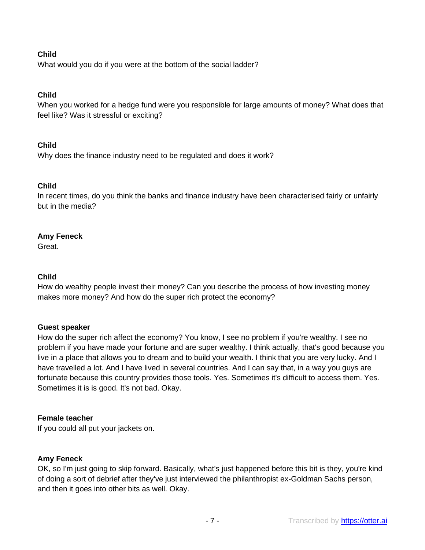# **Child**

What would you do if you were at the bottom of the social ladder?

# **Child**

When you worked for a hedge fund were you responsible for large amounts of money? What does that feel like? Was it stressful or exciting?

# **Child**

Why does the finance industry need to be regulated and does it work?

# **Child**

In recent times, do you think the banks and finance industry have been characterised fairly or unfairly but in the media?

# **Amy Feneck**

Great.

# **Child**

How do wealthy people invest their money? Can you describe the process of how investing money makes more money? And how do the super rich protect the economy?

# **Guest speaker**

How do the super rich affect the economy? You know, I see no problem if you're wealthy. I see no problem if you have made your fortune and are super wealthy. I think actually, that's good because you live in a place that allows you to dream and to build your wealth. I think that you are very lucky. And I have travelled a lot. And I have lived in several countries. And I can say that, in a way you guys are fortunate because this country provides those tools. Yes. Sometimes it's difficult to access them. Yes. Sometimes it is is good. It's not bad. Okay.

# **Female teacher**

If you could all put your jackets on.

# **Amy Feneck**

OK, so I'm just going to skip forward. Basically, what's just happened before this bit is they, you're kind of doing a sort of debrief after they've just interviewed the philanthropist ex-Goldman Sachs person, and then it goes into other bits as well. Okay.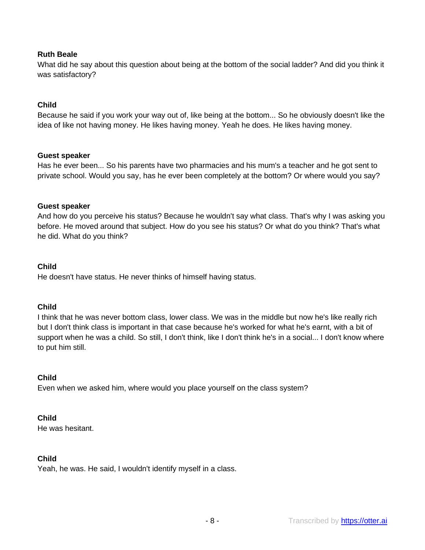What did he say about this question about being at the bottom of the social ladder? And did you think it was satisfactory?

## **Child**

Because he said if you work your way out of, like being at the bottom... So he obviously doesn't like the idea of like not having money. He likes having money. Yeah he does. He likes having money.

#### **Guest speaker**

Has he ever been... So his parents have two pharmacies and his mum's a teacher and he got sent to private school. Would you say, has he ever been completely at the bottom? Or where would you say?

#### **Guest speaker**

And how do you perceive his status? Because he wouldn't say what class. That's why I was asking you before. He moved around that subject. How do you see his status? Or what do you think? That's what he did. What do you think?

#### **Child**

He doesn't have status. He never thinks of himself having status.

#### **Child**

I think that he was never bottom class, lower class. We was in the middle but now he's like really rich but I don't think class is important in that case because he's worked for what he's earnt, with a bit of support when he was a child. So still, I don't think, like I don't think he's in a social... I don't know where to put him still.

## **Child**

Even when we asked him, where would you place yourself on the class system?

## **Child**

He was hesitant.

#### **Child**

Yeah, he was. He said, I wouldn't identify myself in a class.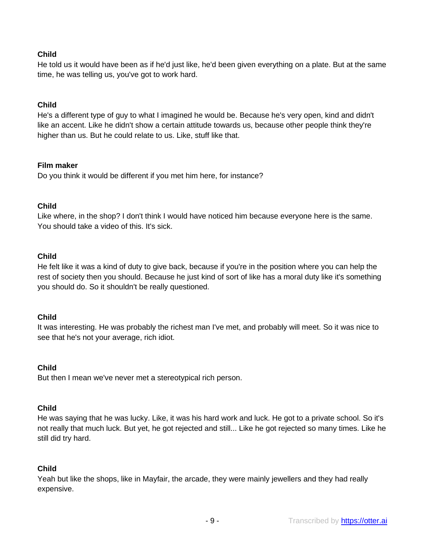# **Child**

He told us it would have been as if he'd just like, he'd been given everything on a plate. But at the same time, he was telling us, you've got to work hard.

## **Child**

He's a different type of guy to what I imagined he would be. Because he's very open, kind and didn't like an accent. Like he didn't show a certain attitude towards us, because other people think they're higher than us. But he could relate to us. Like, stuff like that.

## **Film maker**

Do you think it would be different if you met him here, for instance?

## **Child**

Like where, in the shop? I don't think I would have noticed him because everyone here is the same. You should take a video of this. It's sick.

## **Child**

He felt like it was a kind of duty to give back, because if you're in the position where you can help the rest of society then you should. Because he just kind of sort of like has a moral duty like it's something you should do. So it shouldn't be really questioned.

## **Child**

It was interesting. He was probably the richest man I've met, and probably will meet. So it was nice to see that he's not your average, rich idiot.

## **Child**

But then I mean we've never met a stereotypical rich person.

## **Child**

He was saying that he was lucky. Like, it was his hard work and luck. He got to a private school. So it's not really that much luck. But yet, he got rejected and still... Like he got rejected so many times. Like he still did try hard.

## **Child**

Yeah but like the shops, like in Mayfair, the arcade, they were mainly jewellers and they had really expensive.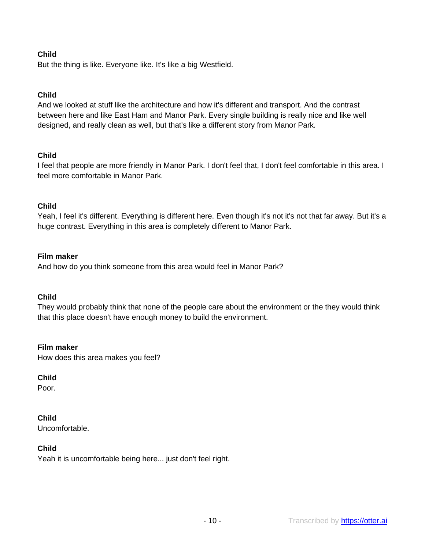# **Child**

But the thing is like. Everyone like. It's like a big Westfield.

# **Child**

And we looked at stuff like the architecture and how it's different and transport. And the contrast between here and like East Ham and Manor Park. Every single building is really nice and like well designed, and really clean as well, but that's like a different story from Manor Park.

## **Child**

I feel that people are more friendly in Manor Park. I don't feel that, I don't feel comfortable in this area. I feel more comfortable in Manor Park.

## **Child**

Yeah, I feel it's different. Everything is different here. Even though it's not it's not that far away. But it's a huge contrast. Everything in this area is completely different to Manor Park.

## **Film maker**

And how do you think someone from this area would feel in Manor Park?

## **Child**

They would probably think that none of the people care about the environment or the they would think that this place doesn't have enough money to build the environment.

#### **Film maker**

How does this area makes you feel?

## **Child**

Poor.

## **Child**

Uncomfortable.

## **Child**

Yeah it is uncomfortable being here... just don't feel right.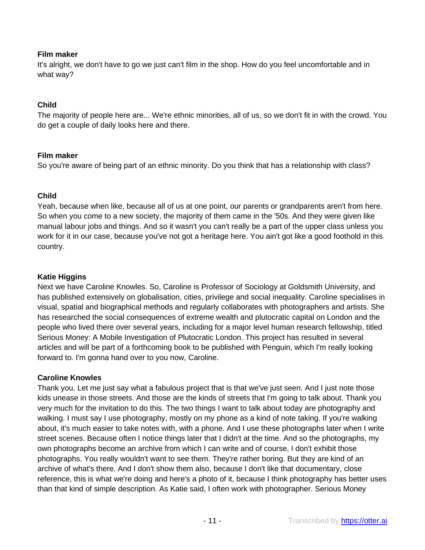# **Film maker**

It's alright, we don't have to go we just can't film in the shop. How do you feel uncomfortable and in what way?

## **Child**

The majority of people here are... We're ethnic minorities, all of us, so we don't fit in with the crowd. You do get a couple of daily looks here and there.

## **Film maker**

So you're aware of being part of an ethnic minority. Do you think that has a relationship with class?

## **Child**

Yeah, because when like, because all of us at one point, our parents or grandparents aren't from here. So when you come to a new society, the majority of them came in the '50s. And they were given like manual labour jobs and things. And so it wasn't you can't really be a part of the upper class unless you work for it in our case, because you've not got a heritage here. You ain't got like a good foothold in this country.

## **Katie Higgins**

Next we have Caroline Knowles. So, Caroline is Professor of Sociology at Goldsmith University, and has published extensively on globalisation, cities, privilege and social inequality. Caroline specialises in visual, spatial and biographical methods and regularly collaborates with photographers and artists. She has researched the social consequences of extreme wealth and plutocratic capital on London and the people who lived there over several years, including for a major level human research fellowship, titled Serious Money: A Mobile Investigation of Plutocratic London. This project has resulted in several articles and will be part of a forthcoming book to be published with Penguin, which I'm really looking forward to. I'm gonna hand over to you now, Caroline.

## **Caroline Knowles**

Thank you. Let me just say what a fabulous project that is that we've just seen. And I just note those kids unease in those streets. And those are the kinds of streets that I'm going to talk about. Thank you very much for the invitation to do this. The two things I want to talk about today are photography and walking. I must say I use photography, mostly on my phone as a kind of note taking. If you're walking about, it's much easier to take notes with, with a phone. And I use these photographs later when I write street scenes. Because often I notice things later that I didn't at the time. And so the photographs, my own photographs become an archive from which I can write and of course, I don't exhibit those photographs. You really wouldn't want to see them. They're rather boring. But they are kind of an archive of what's there. And I don't show them also, because I don't like that documentary, close reference, this is what we're doing and here's a photo of it, because I think photography has better uses than that kind of simple description. As Katie said, I often work with photographer. Serious Money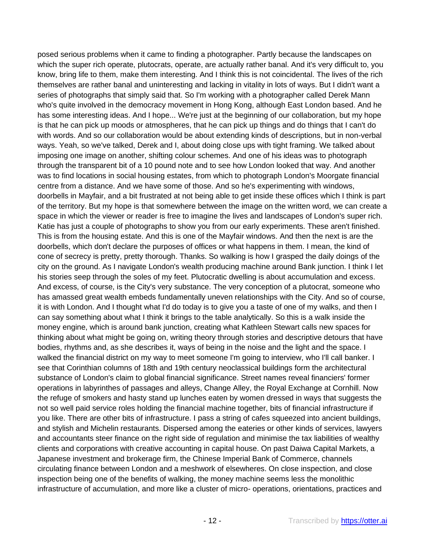posed serious problems when it came to finding a photographer. Partly because the landscapes on which the super rich operate, plutocrats, operate, are actually rather banal. And it's very difficult to, you know, bring life to them, make them interesting. And I think this is not coincidental. The lives of the rich themselves are rather banal and uninteresting and lacking in vitality in lots of ways. But I didn't want a series of photographs that simply said that. So I'm working with a photographer called Derek Mann who's quite involved in the democracy movement in Hong Kong, although East London based. And he has some interesting ideas. And I hope... We're just at the beginning of our collaboration, but my hope is that he can pick up moods or atmospheres, that he can pick up things and do things that I can't do with words. And so our collaboration would be about extending kinds of descriptions, but in non-verbal ways. Yeah, so we've talked, Derek and I, about doing close ups with tight framing. We talked about imposing one image on another, shifting colour schemes. And one of his ideas was to photograph through the transparent bit of a 10 pound note and to see how London looked that way. And another was to find locations in social housing estates, from which to photograph London's Moorgate financial centre from a distance. And we have some of those. And so he's experimenting with windows, doorbells in Mayfair, and a bit frustrated at not being able to get inside these offices which I think is part of the territory. But my hope is that somewhere between the image on the written word, we can create a space in which the viewer or reader is free to imagine the lives and landscapes of London's super rich. Katie has just a couple of photographs to show you from our early experiments. These aren't finished. This is from the housing estate. And this is one of the Mayfair windows. And then the next is are the doorbells, which don't declare the purposes of offices or what happens in them. I mean, the kind of cone of secrecy is pretty, pretty thorough. Thanks. So walking is how I grasped the daily doings of the city on the ground. As I navigate London's wealth producing machine around Bank junction. I think I let his stories seep through the soles of my feet. Plutocratic dwelling is about accumulation and excess. And excess, of course, is the City's very substance. The very conception of a plutocrat, someone who has amassed great wealth embeds fundamentally uneven relationships with the City. And so of course, it is with London. And I thought what I'd do today is to give you a taste of one of my walks, and then I can say something about what I think it brings to the table analytically. So this is a walk inside the money engine, which is around bank junction, creating what Kathleen Stewart calls new spaces for thinking about what might be going on, writing theory through stories and descriptive detours that have bodies, rhythms and, as she describes it, ways of being in the noise and the light and the space. I walked the financial district on my way to meet someone I'm going to interview, who I'll call banker. I see that Corinthian columns of 18th and 19th century neoclassical buildings form the architectural substance of London's claim to global financial significance. Street names reveal financiers' former operations in labyrinthes of passages and alleys, Change Alley, the Royal Exchange at Cornhill. Now the refuge of smokers and hasty stand up lunches eaten by women dressed in ways that suggests the not so well paid service roles holding the financial machine together, bits of financial infrastructure if you like. There are other bits of infrastructure. I pass a string of cafes squeezed into ancient buildings, and stylish and Michelin restaurants. Dispersed among the eateries or other kinds of services, lawyers and accountants steer finance on the right side of regulation and minimise the tax liabilities of wealthy clients and corporations with creative accounting in capital house. On past Daiwa Capital Markets, a Japanese investment and brokerage firm, the Chinese Imperial Bank of Commerce, channels circulating finance between London and a meshwork of elsewheres. On close inspection, and close inspection being one of the benefits of walking, the money machine seems less the monolithic infrastructure of accumulation, and more like a cluster of micro- operations, orientations, practices and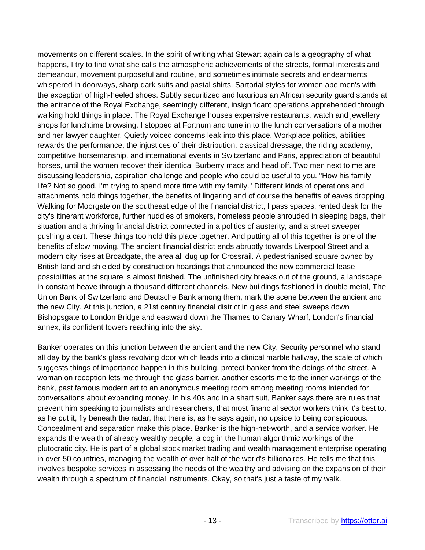movements on different scales. In the spirit of writing what Stewart again calls a geography of what happens, I try to find what she calls the atmospheric achievements of the streets, formal interests and demeanour, movement purposeful and routine, and sometimes intimate secrets and endearments whispered in doorways, sharp dark suits and pastal shirts. Sartorial styles for women ape men's with the exception of high-heeled shoes. Subtly securitized and luxurious an African security guard stands at the entrance of the Royal Exchange, seemingly different, insignificant operations apprehended through walking hold things in place. The Royal Exchange houses expensive restaurants, watch and jewellery shops for lunchtime browsing. I stopped at Fortnum and tune in to the lunch conversations of a mother and her lawyer daughter. Quietly voiced concerns leak into this place. Workplace politics, abilities rewards the performance, the injustices of their distribution, classical dressage, the riding academy, competitive horsemanship, and international events in Switzerland and Paris, appreciation of beautiful horses, until the women recover their identical Burberry macs and head off. Two men next to me are discussing leadership, aspiration challenge and people who could be useful to you. "How his family life? Not so good. I'm trying to spend more time with my family." Different kinds of operations and attachments hold things together, the benefits of lingering and of course the benefits of eaves dropping. Walking for Moorgate on the southeast edge of the financial district, I pass spaces, rented desk for the city's itinerant workforce, further huddles of smokers, homeless people shrouded in sleeping bags, their situation and a thriving financial district connected in a politics of austerity, and a street sweeper pushing a cart. These things too hold this place together. And putting all of this together is one of the benefits of slow moving. The ancient financial district ends abruptly towards Liverpool Street and a modern city rises at Broadgate, the area all dug up for Crossrail. A pedestrianised square owned by British land and shielded by construction hoardings that announced the new commercial lease possibilities at the square is almost finished. The unfinished city breaks out of the ground, a landscape in constant heave through a thousand different channels. New buildings fashioned in double metal, The Union Bank of Switzerland and Deutsche Bank among them, mark the scene between the ancient and the new City. At this junction, a 21st century financial district in glass and steel sweeps down Bishopsgate to London Bridge and eastward down the Thames to Canary Wharf, London's financial annex, its confident towers reaching into the sky.

Banker operates on this junction between the ancient and the new City. Security personnel who stand all day by the bank's glass revolving door which leads into a clinical marble hallway, the scale of which suggests things of importance happen in this building, protect banker from the doings of the street. A woman on reception lets me through the glass barrier, another escorts me to the inner workings of the bank, past famous modern art to an anonymous meeting room among meeting rooms intended for conversations about expanding money. In his 40s and in a shart suit, Banker says there are rules that prevent him speaking to journalists and researchers, that most financial sector workers think it's best to, as he put it, fly beneath the radar, that there is, as he says again, no upside to being conspicuous. Concealment and separation make this place. Banker is the high-net-worth, and a service worker. He expands the wealth of already wealthy people, a cog in the human algorithmic workings of the plutocratic city. He is part of a global stock market trading and wealth management enterprise operating in over 50 countries, managing the wealth of over half of the world's billionaires. He tells me that this involves bespoke services in assessing the needs of the wealthy and advising on the expansion of their wealth through a spectrum of financial instruments. Okay, so that's just a taste of my walk.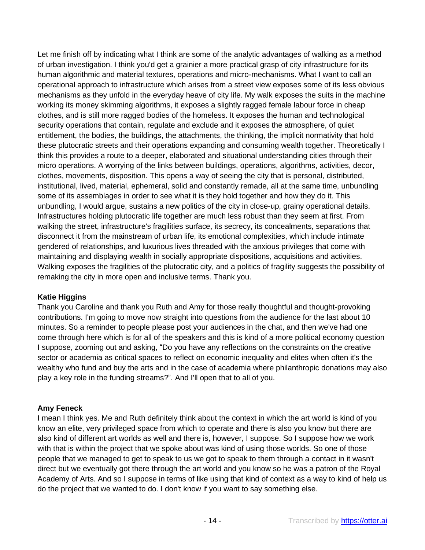Let me finish off by indicating what I think are some of the analytic advantages of walking as a method of urban investigation. I think you'd get a grainier a more practical grasp of city infrastructure for its human algorithmic and material textures, operations and micro-mechanisms. What I want to call an operational approach to infrastructure which arises from a street view exposes some of its less obvious mechanisms as they unfold in the everyday heave of city life. My walk exposes the suits in the machine working its money skimming algorithms, it exposes a slightly ragged female labour force in cheap clothes, and is still more ragged bodies of the homeless. It exposes the human and technological security operations that contain, regulate and exclude and it exposes the atmosphere, of quiet entitlement, the bodies, the buildings, the attachments, the thinking, the implicit normativity that hold these plutocratic streets and their operations expanding and consuming wealth together. Theoretically I think this provides a route to a deeper, elaborated and situational understanding cities through their micro operations. A worrying of the links between buildings, operations, algorithms, activities, decor, clothes, movements, disposition. This opens a way of seeing the city that is personal, distributed, institutional, lived, material, ephemeral, solid and constantly remade, all at the same time, unbundling some of its assemblages in order to see what it is they hold together and how they do it. This unbundling, I would argue, sustains a new politics of the city in close-up, grainy operational details. Infrastructures holding plutocratic life together are much less robust than they seem at first. From walking the street, infrastructure's fragilities surface, its secrecy, its concealments, separations that disconnect it from the mainstream of urban life, its emotional complexities, which include intimate gendered of relationships, and luxurious lives threaded with the anxious privileges that come with maintaining and displaying wealth in socially appropriate dispositions, acquisitions and activities. Walking exposes the fragilities of the plutocratic city, and a politics of fragility suggests the possibility of remaking the city in more open and inclusive terms. Thank you.

# **Katie Higgins**

Thank you Caroline and thank you Ruth and Amy for those really thoughtful and thought-provoking contributions. I'm going to move now straight into questions from the audience for the last about 10 minutes. So a reminder to people please post your audiences in the chat, and then we've had one come through here which is for all of the speakers and this is kind of a more political economy question I suppose, zooming out and asking, "Do you have any reflections on the constraints on the creative sector or academia as critical spaces to reflect on economic inequality and elites when often it's the wealthy who fund and buy the arts and in the case of academia where philanthropic donations may also play a key role in the funding streams?". And I'll open that to all of you.

# **Amy Feneck**

I mean I think yes. Me and Ruth definitely think about the context in which the art world is kind of you know an elite, very privileged space from which to operate and there is also you know but there are also kind of different art worlds as well and there is, however, I suppose. So I suppose how we work with that is within the project that we spoke about was kind of using those worlds. So one of those people that we managed to get to speak to us we got to speak to them through a contact in it wasn't direct but we eventually got there through the art world and you know so he was a patron of the Royal Academy of Arts. And so I suppose in terms of like using that kind of context as a way to kind of help us do the project that we wanted to do. I don't know if you want to say something else.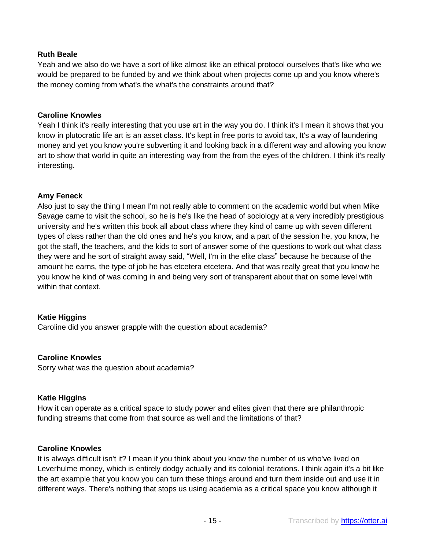Yeah and we also do we have a sort of like almost like an ethical protocol ourselves that's like who we would be prepared to be funded by and we think about when projects come up and you know where's the money coming from what's the what's the constraints around that?

#### **Caroline Knowles**

Yeah I think it's really interesting that you use art in the way you do. I think it's I mean it shows that you know in plutocratic life art is an asset class. It's kept in free ports to avoid tax, It's a way of laundering money and yet you know you're subverting it and looking back in a different way and allowing you know art to show that world in quite an interesting way from the from the eyes of the children. I think it's really interesting.

#### **Amy Feneck**

Also just to say the thing I mean I'm not really able to comment on the academic world but when Mike Savage came to visit the school, so he is he's like the head of sociology at a very incredibly prestigious university and he's written this book all about class where they kind of came up with seven different types of class rather than the old ones and he's you know, and a part of the session he, you know, he got the staff, the teachers, and the kids to sort of answer some of the questions to work out what class they were and he sort of straight away said, "Well, I'm in the elite class" because he because of the amount he earns, the type of job he has etcetera etcetera. And that was really great that you know he you know he kind of was coming in and being very sort of transparent about that on some level with within that context.

## **Katie Higgins**

Caroline did you answer grapple with the question about academia?

#### **Caroline Knowles**

Sorry what was the question about academia?

## **Katie Higgins**

How it can operate as a critical space to study power and elites given that there are philanthropic funding streams that come from that source as well and the limitations of that?

#### **Caroline Knowles**

It is always difficult isn't it? I mean if you think about you know the number of us who've lived on Leverhulme money, which is entirely dodgy actually and its colonial iterations. I think again it's a bit like the art example that you know you can turn these things around and turn them inside out and use it in different ways. There's nothing that stops us using academia as a critical space you know although it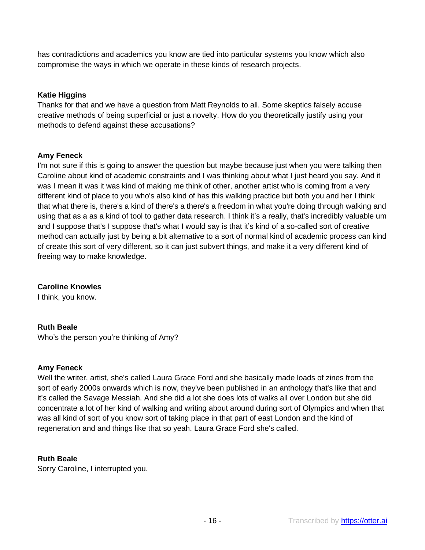has contradictions and academics you know are tied into particular systems you know which also compromise the ways in which we operate in these kinds of research projects.

# **Katie Higgins**

Thanks for that and we have a question from Matt Reynolds to all. Some skeptics falsely accuse creative methods of being superficial or just a novelty. How do you theoretically justify using your methods to defend against these accusations?

## **Amy Feneck**

I'm not sure if this is going to answer the question but maybe because just when you were talking then Caroline about kind of academic constraints and I was thinking about what I just heard you say. And it was I mean it was it was kind of making me think of other, another artist who is coming from a very different kind of place to you who's also kind of has this walking practice but both you and her I think that what there is, there's a kind of there's a there's a freedom in what you're doing through walking and using that as a as a kind of tool to gather data research. I think it's a really, that's incredibly valuable um and I suppose that's I suppose that's what I would say is that it's kind of a so-called sort of creative method can actually just by being a bit alternative to a sort of normal kind of academic process can kind of create this sort of very different, so it can just subvert things, and make it a very different kind of freeing way to make knowledge.

**Caroline Knowles**

I think, you know.

# **Ruth Beale**

Who's the person you're thinking of Amy?

## **Amy Feneck**

Well the writer, artist, she's called Laura Grace Ford and she basically made loads of zines from the sort of early 2000s onwards which is now, they've been published in an anthology that's like that and it's called the Savage Messiah. And she did a lot she does lots of walks all over London but she did concentrate a lot of her kind of walking and writing about around during sort of Olympics and when that was all kind of sort of you know sort of taking place in that part of east London and the kind of regeneration and and things like that so yeah. Laura Grace Ford she's called.

## **Ruth Beale**

Sorry Caroline, I interrupted you.